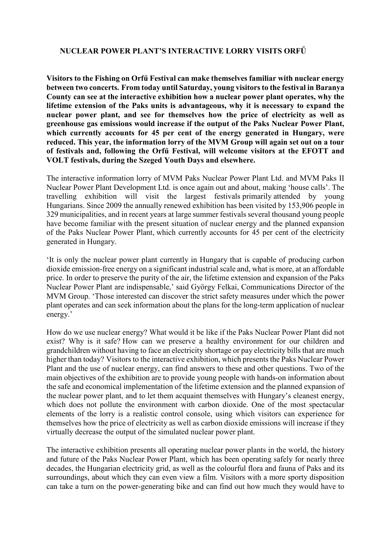## **NUCLEAR POWER PLANT'S INTERACTIVE LORRY VISITS ORFŰ**

**Visitors to the Fishing on Orfű Festival can make themselves familiar with nuclear energy between two concerts. From today until Saturday, young visitors to the festival in Baranya County can see at the interactive exhibition how a nuclear power plant operates, why the lifetime extension of the Paks units is advantageous, why it is necessary to expand the nuclear power plant, and see for themselves how the price of electricity as well as greenhouse gas emissions would increase if the output of the Paks Nuclear Power Plant, which currently accounts for 45 per cent of the energy generated in Hungary, were reduced. This year, the information lorry of the MVM Group will again set out on a tour of festivals and, following the Orfű Festival, will welcome visitors at the EFOTT and VOLT festivals, during the Szeged Youth Days and elsewhere.**

The interactive information lorry of MVM Paks Nuclear Power Plant Ltd. and MVM Paks II Nuclear Power Plant Development Ltd. is once again out and about, making 'house calls'. The travelling exhibition will visit the largest festivals primarily attended by young Hungarians. Since 2009 the annually renewed exhibition has been visited by 153,906 people in 329 municipalities, and in recent years at large summer festivals several thousand young people have become familiar with the present situation of nuclear energy and the planned expansion of the Paks Nuclear Power Plant, which currently accounts for 45 per cent of the electricity generated in Hungary.

'It is only the nuclear power plant currently in Hungary that is capable of producing carbon dioxide emission-free energy on a significant industrial scale and, what is more, at an affordable price. In order to preserve the purity of the air, the lifetime extension and expansion of the Paks Nuclear Power Plant are indispensable,' said György Felkai, Communications Director of the MVM Group. 'Those interested can discover the strict safety measures under which the power plant operates and can seek information about the plans for the long-term application of nuclear energy.'

How do we use nuclear energy? What would it be like if the Paks Nuclear Power Plant did not exist? Why is it safe? How can we preserve a healthy environment for our children and grandchildren without having to face an electricity shortage or pay electricity bills that are much higher than today? Visitors to the interactive exhibition, which presents the Paks Nuclear Power Plant and the use of nuclear energy, can find answers to these and other questions. Two of the main objectives of the exhibition are to provide young people with hands-on information about the safe and economical implementation of the lifetime extension and the planned expansion of the nuclear power plant, and to let them acquaint themselves with Hungary's cleanest energy, which does not pollute the environment with carbon dioxide. One of the most spectacular elements of the lorry is a realistic control console, using which visitors can experience for themselves how the price of electricity as well as carbon dioxide emissions will increase if they virtually decrease the output of the simulated nuclear power plant.

The interactive exhibition presents all operating nuclear power plants in the world, the history and future of the Paks Nuclear Power Plant, which has been operating safely for nearly three decades, the Hungarian electricity grid, as well as the colourful flora and fauna of Paks and its surroundings, about which they can even view a film. Visitors with a more sporty disposition can take a turn on the power-generating bike and can find out how much they would have to